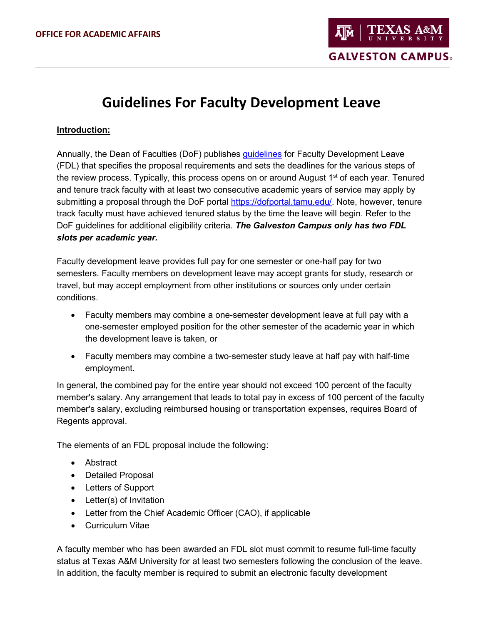# **Guidelines For Faculty Development Leave**

#### **Introduction:**

Annually, the Dean of Faculties (DoF) publishes [guidelines](http://dof.tamu.edu/Faculty-Resources/Faculty-Development-Leave) for Faculty Development Leave (FDL) that specifies the proposal requirements and sets the deadlines for the various steps of the review process. Typically, this process opens on or around August 1<sup>st</sup> of each year. Tenured and tenure track faculty with at least two consecutive academic years of service may apply by submitting a proposal through the DoF portal [https://dofportal.tamu.edu/.](https://dofportal.tamu.edu/) Note, however, tenure track faculty must have achieved tenured status by the time the leave will begin. Refer to the DoF guidelines for additional eligibility criteria. *The Galveston Campus only has two FDL slots per academic year.* 

Faculty development leave provides full pay for one semester or one-half pay for two semesters. Faculty members on development leave may accept grants for study, research or travel, but may accept employment from other institutions or sources only under certain conditions.

- Faculty members may combine a one-semester development leave at full pay with a one-semester employed position for the other semester of the academic year in which the development leave is taken, or
- Faculty members may combine a two-semester study leave at half pay with half-time employment.

In general, the combined pay for the entire year should not exceed 100 percent of the faculty member's salary. Any arrangement that leads to total pay in excess of 100 percent of the faculty member's salary, excluding reimbursed housing or transportation expenses, requires Board of Regents approval.

The elements of an FDL proposal include the following:

- Abstract
- Detailed Proposal
- Letters of Support
- Letter(s) of Invitation
- Letter from the Chief Academic Officer (CAO), if applicable
- Curriculum Vitae

A faculty member who has been awarded an FDL slot must commit to resume full-time faculty status at Texas A&M University for at least two semesters following the conclusion of the leave. In addition, the faculty member is required to submit an electronic faculty development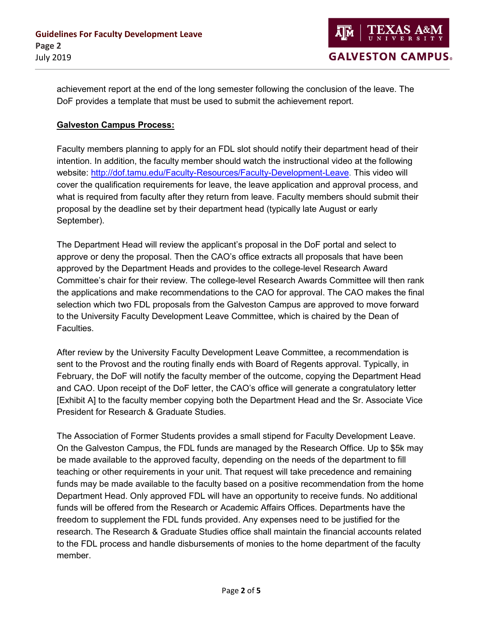achievement report at the end of the long semester following the conclusion of the leave. The DoF provides a template that must be used to submit the achievement report.

#### **Galveston Campus Process:**

Faculty members planning to apply for an FDL slot should notify their department head of their intention. In addition, the faculty member should watch the instructional video at the following website: [http://dof.tamu.edu/Faculty-Resources/Faculty-Development-Leave.](http://dof.tamu.edu/Faculty-Resources/Faculty-Development-Leave) This video will cover the qualification requirements for leave, the leave application and approval process, and what is required from faculty after they return from leave. Faculty members should submit their proposal by the deadline set by their department head (typically late August or early September).

The Department Head will review the applicant's proposal in the DoF portal and select to approve or deny the proposal. Then the CAO's office extracts all proposals that have been approved by the Department Heads and provides to the college-level Research Award Committee's chair for their review. The college-level Research Awards Committee will then rank the applications and make recommendations to the CAO for approval. The CAO makes the final selection which two FDL proposals from the Galveston Campus are approved to move forward to the University Faculty Development Leave Committee, which is chaired by the Dean of Faculties.

After review by the University Faculty Development Leave Committee, a recommendation is sent to the Provost and the routing finally ends with Board of Regents approval. Typically, in February, the DoF will notify the faculty member of the outcome, copying the Department Head and CAO. Upon receipt of the DoF letter, the CAO's office will generate a congratulatory letter [Exhibit A] to the faculty member copying both the Department Head and the Sr. Associate Vice President for Research & Graduate Studies.

The Association of Former Students provides a small stipend for Faculty Development Leave. On the Galveston Campus, the FDL funds are managed by the Research Office. Up to \$5k may be made available to the approved faculty, depending on the needs of the department to fill teaching or other requirements in your unit. That request will take precedence and remaining funds may be made available to the faculty based on a positive recommendation from the home Department Head. Only approved FDL will have an opportunity to receive funds. No additional funds will be offered from the Research or Academic Affairs Offices. Departments have the freedom to supplement the FDL funds provided. Any expenses need to be justified for the research. The Research & Graduate Studies office shall maintain the financial accounts related to the FDL process and handle disbursements of monies to the home department of the faculty member.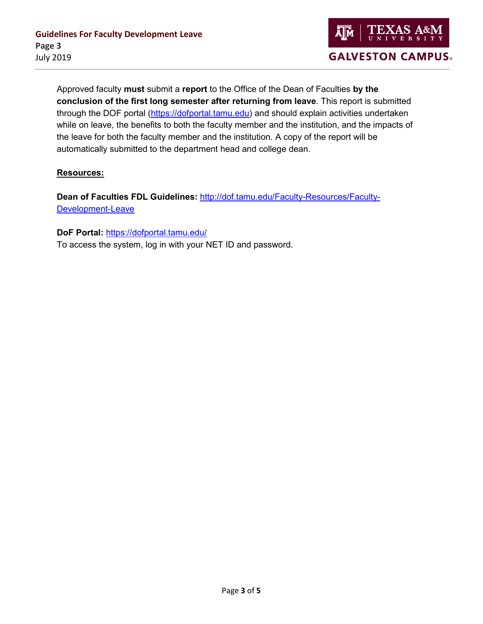

Approved faculty **must** submit a **report** to the Office of the Dean of Faculties **by the conclusion of the first long semester after returning from leave**. This report is submitted through the DOF portal [\(https://dofportal.tamu.edu\)](https://dofportal.tamu.edu/) and should explain activities undertaken while on leave, the benefits to both the faculty member and the institution, and the impacts of the leave for both the faculty member and the institution*.* A copy of the report will be automatically submitted to the department head and college dean.

#### **Resources:**

**Dean of Faculties FDL Guidelines:** [http://dof.tamu.edu/Faculty-Resources/Faculty-](http://dof.tamu.edu/Faculty-Resources/Faculty-Development-Leave)[Development-Leave](http://dof.tamu.edu/Faculty-Resources/Faculty-Development-Leave)

**DoF Portal:** <https://dofportal.tamu.edu/> To access the system, log in with your NET ID and password.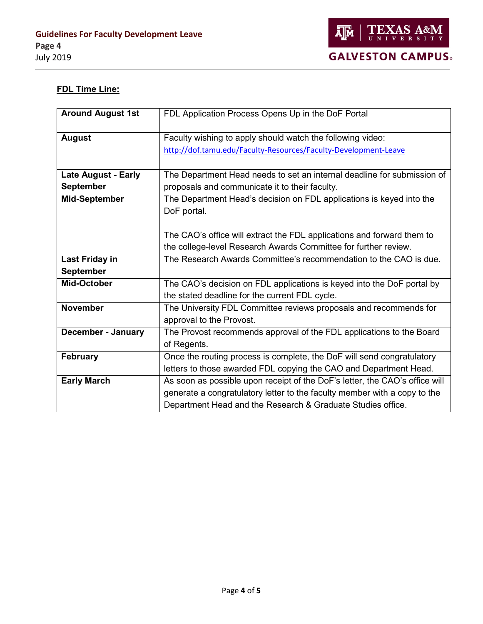

### **FDL Time Line:**

| <b>Around August 1st</b>   | FDL Application Process Opens Up in the DoF Portal                          |
|----------------------------|-----------------------------------------------------------------------------|
|                            |                                                                             |
| <b>August</b>              | Faculty wishing to apply should watch the following video:                  |
|                            | http://dof.tamu.edu/Faculty-Resources/Faculty-Development-Leave             |
|                            |                                                                             |
| <b>Late August - Early</b> | The Department Head needs to set an internal deadline for submission of     |
| <b>September</b>           | proposals and communicate it to their faculty.                              |
| <b>Mid-September</b>       | The Department Head's decision on FDL applications is keyed into the        |
|                            | DoF portal.                                                                 |
|                            |                                                                             |
|                            | The CAO's office will extract the FDL applications and forward them to      |
|                            | the college-level Research Awards Committee for further review.             |
| <b>Last Friday in</b>      | The Research Awards Committee's recommendation to the CAO is due.           |
| <b>September</b>           |                                                                             |
| Mid-October                | The CAO's decision on FDL applications is keyed into the DoF portal by      |
|                            | the stated deadline for the current FDL cycle.                              |
| <b>November</b>            | The University FDL Committee reviews proposals and recommends for           |
|                            | approval to the Provost.                                                    |
| <b>December - January</b>  | The Provost recommends approval of the FDL applications to the Board        |
|                            | of Regents.                                                                 |
| <b>February</b>            | Once the routing process is complete, the DoF will send congratulatory      |
|                            | letters to those awarded FDL copying the CAO and Department Head.           |
| <b>Early March</b>         | As soon as possible upon receipt of the DoF's letter, the CAO's office will |
|                            | generate a congratulatory letter to the faculty member with a copy to the   |
|                            | Department Head and the Research & Graduate Studies office.                 |